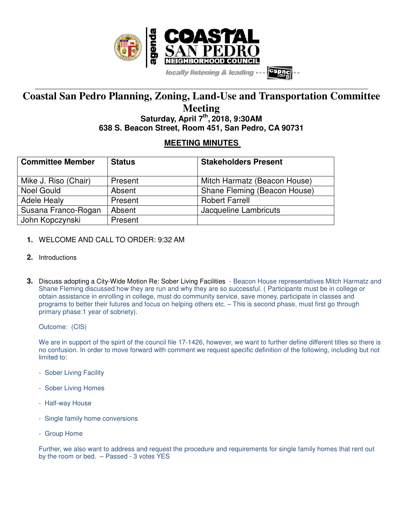

## **\_\_\_\_\_\_\_\_\_\_\_\_\_\_\_\_\_\_\_\_\_\_\_\_\_\_\_\_\_\_\_\_\_\_\_\_\_\_\_\_\_\_\_\_\_\_\_\_\_\_\_\_\_\_\_\_\_\_\_\_\_\_\_\_\_\_\_\_\_\_\_\_\_\_\_\_\_\_\_\_\_\_\_\_\_\_\_\_\_\_\_\_\_\_\_\_\_\_\_\_\_\_\_\_\_\_\_\_\_\_\_\_\_ Coastal San Pedro Planning, Zoning, Land-Use and Transportation Committee Meeting**

**Saturday, April 7th , 2018, 9:30AM 638 S. Beacon Street, Room 451, San Pedro, CA 90731**

## **MEETING MINUTES**

| <b>Committee Member</b> | <b>Status</b> | <b>Stakeholders Present</b>  |
|-------------------------|---------------|------------------------------|
| Mike J. Riso (Chair)    | Present       | Mitch Harmatz (Beacon House) |
| <b>Noel Gould</b>       | Absent        | Shane Fleming (Beacon House) |
| <b>Adele Healy</b>      | Present       | <b>Robert Farrell</b>        |
| Susana Franco-Rogan     | Absent        | Jacqueline Lambricuts        |
| John Kopczynski         | Present       |                              |

- **1.** WELCOME AND CALL TO ORDER: 9:32 AM
- **2.** Introductions
- **3.** Discuss adopting a City-Wide Motion Re: Sober Living Facilities Beacon House representatives Mitch Harmatz and Shane Fleming discussed how they are run and why they are so successful. ( Participants must be in college or obtain assistance in enrolling in college, must do community service, save money, participate in classes and programs to better their futures and focus on helping others etc. – This is second phase, must first go through primary phase:1 year of sobriety).

Outcome: (CIS)

We are in support of the spirit of the council file 17-1426, however, we want to further define different titles so there is no confusion. In order to move forward with comment we request specific definition of the following, including but not limited to:

- Sober Living Facility
- Sober Living Homes
- Half-way House
- Single family home conversions
- Group Home

Further, we also want to address and request the procedure and requirements for single family homes that rent out by the room or bed. – Passed - 3 votes YES